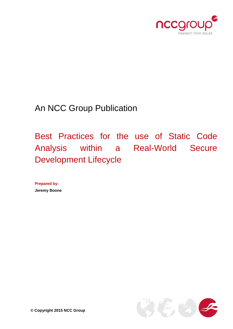

An NCC Group Publication

Best Practices for the use of Static Code Analysis within a Real-World Secure Development Lifecycle

**Prepared by: Jeremy Boone**

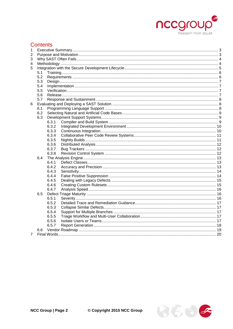

# **Contents**

| 1           |     |       |  |  |  |  |
|-------------|-----|-------|--|--|--|--|
| 2           |     |       |  |  |  |  |
| 3           |     |       |  |  |  |  |
| 4           |     |       |  |  |  |  |
| 5           |     |       |  |  |  |  |
|             | 5.1 |       |  |  |  |  |
|             | 5.2 |       |  |  |  |  |
|             | 5.3 |       |  |  |  |  |
|             | 5.4 |       |  |  |  |  |
|             | 5.5 |       |  |  |  |  |
|             | 5.6 |       |  |  |  |  |
|             | 5.7 |       |  |  |  |  |
| 6           |     |       |  |  |  |  |
|             | 6.1 |       |  |  |  |  |
|             | 6.2 |       |  |  |  |  |
|             | 6.3 |       |  |  |  |  |
|             |     | 6.3.1 |  |  |  |  |
|             |     | 6.3.2 |  |  |  |  |
|             |     | 6.3.3 |  |  |  |  |
|             |     | 6.3.4 |  |  |  |  |
|             |     | 6.3.5 |  |  |  |  |
|             |     | 6.3.6 |  |  |  |  |
|             |     | 6.3.7 |  |  |  |  |
|             |     | 6.3.8 |  |  |  |  |
|             | 6.4 |       |  |  |  |  |
|             |     | 6.4.1 |  |  |  |  |
|             |     | 6.4.2 |  |  |  |  |
|             |     | 6.4.3 |  |  |  |  |
|             |     | 6.4.4 |  |  |  |  |
|             |     | 6.4.5 |  |  |  |  |
|             |     | 6.4.6 |  |  |  |  |
|             |     | 6.4.7 |  |  |  |  |
|             | 6.5 |       |  |  |  |  |
|             |     | 6.5.1 |  |  |  |  |
|             |     | 6.5.2 |  |  |  |  |
|             |     | 6.5.3 |  |  |  |  |
|             |     | 6.5.4 |  |  |  |  |
|             |     | 6.5.5 |  |  |  |  |
|             |     | 6.5.6 |  |  |  |  |
|             |     | 6.5.7 |  |  |  |  |
|             | 6.6 |       |  |  |  |  |
| $7^{\circ}$ |     |       |  |  |  |  |

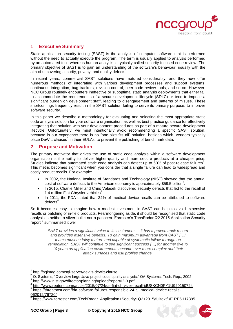

# <span id="page-2-0"></span>**1 Executive Summary**

Static application security testing (SAST) is the analysis of computer software that is performed without the need to actually execute the program. The term is usually applied to analysis performed by an automated tool, whereas human analysis is typically called security-focused code review. The primary objective of SAST is to gain an understanding of the software's behaviour, usually with the aim of uncovering security, privacy, and quality defects.

In recent years, commercial SAST solutions have matured considerably, and they now offer numerous methods of integrating with various development processes and support systems: continuous integration, bug trackers, revision control, peer code review tools, and so on. However, NCC Group routinely encounters ineffective or suboptimal static analysis deployments that either fail to accommodate the requirements of a secure development lifecycle (SDLC) or tend to impose a significant burden on development staff, leading to disengagement and patterns of misuse. These shortcomings frequently result in the SAST solution failing to serve its primary purpose: to improve software security.

In this paper we describe a methodology for evaluating and selecting the most appropriate static code analysis solution for your software organisation, as well as best practice guidance for effectively integrating that solution with your development procedures as part of a mature secure development lifecycle. Unfortunately, we must intentionally avoid recommending a specific SAST solution, because in our experience there is no "one size fits all" solution; besides which, vendors typically place DeWitt clauses<sup>1</sup> in their EULAs, to prevent the publishing of benchmark data.

### <span id="page-2-1"></span>**2 Purpose and Motivation**

The primary motivator that drives the use of static code analysis within a software development organisation is the ability to deliver higher-quality and more secure products at a cheaper price. Studies indicate that automated static code analysis can detect up to 60% of post-release failures<sup>2</sup>. This metric becomes significant when you consider that a single failure can lead to widespread and costly product recalls. For example:

- In 2002, the National Institute of Standards and Technology (NIST) showed that the annual cost of software defects to the American economy is approximately \$59.5 billion<sup>3</sup>.
- In 2015, Charlie Miller and Chris Valasek discovered security defects that led to the recall of 1.4 million Fiat Chrysler vehicles<sup>4</sup>.
- In 2011, the FDA stated that 24% of medical device recalls can be attributed to software defects<sup>5</sup>.

So it becomes easy to imagine how a modest investment in SAST can help to avoid expensive recalls or patching of in-field products. Fearmongering aside, it should be recognised that static code analysis is neither a silver bullet nor a panacea. Forrester's TechRadar Q2 2015 Application Security report <sup>6</sup> summarised it well:

*SAST provides a significant value to its customers — it has a proven track record and provides extensive benefits. To gain maximum advantage from SAST […] teams must be fairly mature and capable of systematic follow-through on remediation. SAST will continue to see significant success […] for another five to 10 years as application environments become ever more complex and their attack surfaces and risk profiles change.*

<http://www.reuters.com/article/2015/07/24/us-fiat-chrysler-recall-idUSKCN0PY1U920150724>



<sup>1</sup> <http://sqlmag.com/sql-server/devils-dewitt-clause>

<sup>2</sup> Rep. balling. 2011. 2012. 2012. 2012. 2012. 2012. 2012. 2012. 2012. 2012. 2012. 2012. 2012. 2012. 2012. 2012.

<sup>&</sup>lt;sup>3</sup> <http://www.nist.gov/director/planning/upload/report02-3.pdf><br><sup>4</sup> http://www.routers.com/erticle/2015/07/24/up fiet.chrysler.r

<sup>5</sup> [https://threatpost.com/fda-software-failures-responsible-24-all-medical-device-recalls-](https://threatpost.com/fda-software-failures-responsible-24-all-medical-device-recalls-062012/76720/)[062012/76720/](https://threatpost.com/fda-software-failures-responsible-24-all-medical-device-recalls-062012/76720/)

<sup>6</sup> <https://www.forrester.com/TechRadar+Application+Security+Q2+2015/fulltext/-/E-RES117395>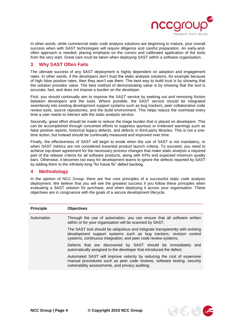

 $35334$ 

In other words, while commercial static code analysis solutions are beginning to mature, your overall success when with SAST technologies will require diligence and careful preparation. An early-andoften approach is needed, placing emphasis on the correct and calibrated application of the tools from the very start. Great care must be taken when deploying SAST within a software organisation.

# <span id="page-3-0"></span>**3 Why SAST Often Fails**

The ultimate success of any SAST deployment is highly dependent on adoption and engagement rates. In other words, if the developers don't trust the static analysis solutions, for example because of high false positive rates, then they won't use them. The best way to build trust is by showing that the solution provides value. The best method of demonstrating value is by showing that the tool is accurate, fast, and does not impose a burden on the developer.

First, you should continually aim to improve the SAST service by seeking out and removing friction between developers and the tools. Where possible, the SAST service should be integrated seamlessly into existing development support systems such as bug trackers, peer collaborative code review tools, source repositories, and the build environment. This helps reduce the overhead every time a user needs to interact with the static analysis service.

Secondly, great effort should be made to reduce the triage burden that is placed on developers. This can be accomplished through concerted efforts to suppress spurious or irrelevant warnings such as false positive reports, historical legacy defects, and defects in third-party libraries. This is not a onetime action, but instead should be continually measured and improved over time.

Finally, the effectiveness of SAST will begin to erode when the use of SAST is not mandatory, or when SAST metrics are not considered essential product launch criteria. To succeed, you need to achieve top-down agreement for the necessary process changes that make static analysis a required part of the release criteria for all software products, along with KPIs and expected minimum quality bars. Otherwise, it becomes too easy for development teams to ignore the defects reported by SAST by adding them to the infinitely-long "for future fix" defect backlog.

### <span id="page-3-1"></span>**4 Methodology**

In the opinion of NCC Group, there are five core principles of a successful static code analysis deployment. We believe that you will see the greatest success if you follow these principles when evaluating a SAST solution for purchase, and when deploying it across your organisation. These objectives are in congruence with the goals of a secure development lifecycle.

| <b>Principle</b> | <b>Objectives</b>                                                                                                                                                                                                    |
|------------------|----------------------------------------------------------------------------------------------------------------------------------------------------------------------------------------------------------------------|
| Automation       | Through the use of automation, you can ensure that all software written<br>within or for your organisation will be scanned by SAST.                                                                                  |
|                  | The SAST tool should be ubiquitous and integrate transparently with existing<br>development support systems such as bug trackers, revision control<br>systems, continuous integration, and peer code review systems. |
|                  | Defects that are discovered by SAST should be immediately and<br>automatically assigned to the developer that introduced the defect.                                                                                 |
|                  | Automated SAST will improve velocity by reducing the cost of expensive<br>manual procedures such as peer code reviews, software testing, security<br>vulnerability assessments, and privacy auditing.                |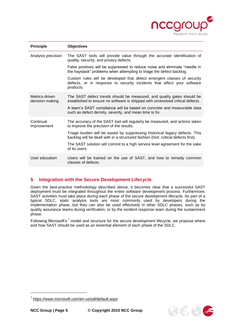

| <b>Principle</b>                  | <b>Objectives</b>                                                                                                                                                |
|-----------------------------------|------------------------------------------------------------------------------------------------------------------------------------------------------------------|
| Analysis precision                | The SAST tools will provide value through the accurate identification of<br>quality, security, and privacy defects.                                              |
|                                   | False positives will be suppressed to reduce noise and eliminate "needle in<br>the haystack" problems when attempting to triage the defect backlog.              |
|                                   | Custom rules will be developed that detect emergent classes of security<br>defects, or in response to security incidents that affect your software<br>products.  |
| Metrics-driven<br>decision making | The SAST defect trends should be measured, and quality gates should be<br>established to ensure no software is shipped with unresolved critical defects.         |
|                                   | A team's SAST compliance will be based on concrete and measurable data<br>such as defect density, severity, and mean time to fix.                                |
| Continual<br>improvement          | The accuracy of the SAST tool will regularly be measured, and actions taken<br>to improve the precision of the results.                                          |
|                                   | Triage burden will be eased by suppressing historical legacy defects. This<br>backlog will be dealt with in a structured fashion (hint: critical defects first). |
|                                   | The SAST solution will commit to a high service level agreement for the sake<br>of its users.                                                                    |
| User education                    | Users will be trained on the use of SAST, and how to remedy common<br>classes of defects.                                                                        |

# <span id="page-4-0"></span>**5 Integration with the Secure Development Lifecycle**

Given the best-practice methodology described above, it becomes clear that a successful SAST deployment must be integrated throughout the entire software development process. Furthermore, SAST activities must take place during each phase of the secure development lifecycle. As part of a typical SDLC, static analysis tools are most commonly used by developers during the implementation phase, but they can also be used effectively in other SDLC phases, such as by quality assurance teams during verification, or by the incident response team during the sustainment phase.

Following Microsoft's <sup>7</sup> model and structure for the secure development lifecycle, we propose where and how SAST should be used as an essential element of each phase of the SDLC.



<sup>7</sup> <https://www.microsoft.com/en-us/sdl/default.aspx>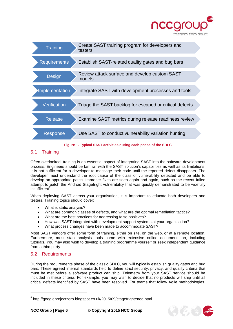



**Figure 1. Typical SAST activities during each phase of the SDLC**

# <span id="page-5-0"></span>5.1 Training

Often overlooked, training is an essential aspect of integrating SAST into the software development process. Engineers should be familiar with the SAST solution's capabilities as well as its limitations. It is not sufficient for a developer to massage their code until the reported defect disappears. The developer must understand the root cause of the class of vulnerability detected and be able to develop an appropriate patch. Improper fixes are seen again and again, such as the recent failed attempt to patch the Android Stagefright vulnerability that was quickly demonstrated to be woefully insufficient<sup>8</sup>.

When deploying SAST across your organisation, it is important to educate both developers and testers. Training topics should cover:

- What is static analysis?
- What are common classes of defects, and what are the optimal remediation tactics?
- What are the best practices for addressing false positives?
- How was SAST integrated with development support systems at your organisation?
- What process changes have been made to accommodate SAST?

Most SAST vendors offer some form of training, either on site, on the web, or at a remote location. Furthermore, most static-analysis tools come with extensive online documentation, including tutorials. You may also wish to develop a training programme yourself or seek independent guidance from a third party.

# <span id="page-5-1"></span>5.2 Requirements

During the requirements phase of the classic SDLC, you will typically establish quality gates and bug bars. These agreed internal standards help to define strict security, privacy, and quality criteria that must be met before a software product can ship. Telemetry from your SAST service should be included in these criteria. For example, you may wish to decide that no products will ship until all critical defects identified by SAST have been resolved. For teams that follow Agile methodologies,



<sup>&</sup>lt;sup>8</sup> <http://googleprojectzero.blogspot.co.uk/2015/09/stagefrightened.html>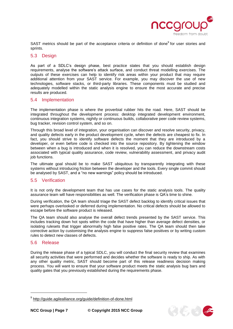

SAST metrics should be part of the acceptance criteria or definition of done<sup>9</sup> for user stories and sprints.

#### <span id="page-6-0"></span>5.3 Design

As part of a SDLC's design phase, best practice states that you should establish design requirements, analyse the software's attack surface, and conduct threat modelling exercises. The outputs of these exercises can help to identify risk areas within your product that may require additional attention from your SAST service. For example, you may discover the use of new technologies, software stacks, or third-party libraries. These components must be studied and adequately modelled within the static analysis engine to ensure the most accurate and precise results are produced.

#### <span id="page-6-1"></span>5.4 Implementation

The implementation phase is where the proverbial rubber hits the road. Here, SAST should be integrated throughout the development process: desktop integrated development environment, continuous integration systems, nightly or continuous builds, collaborative peer code review systems, bug tracker, revision control system, and so on.

Through this broad level of integration, your organisation can discover and resolve security, privacy, and quality defects early in the product development cycle, when the defects are cheapest to fix. In fact, you should strive to identify software defects the moment that they are introduced by a developer, or even before code is checked into the source repository. By tightening the window between when a bug is introduced and when it is resolved, you can reduce the downstream costs associated with typical quality assurance, code review, vulnerability assessment, and privacy audit job functions.

The ultimate goal should be to make SAST ubiquitous by transparently integrating with these systems without introducing friction between the developer and the tools. Every single commit should be analysed by SAST, and a "no new warnings" policy should be introduced.

#### <span id="page-6-2"></span>5.5 Verification

It is not only the development team that has use cases for the static analysis tools. The quality assurance team will have responsibilities as well. The verification phase is QA's time to shine.

During verification, the QA team should triage the SAST defect backlog to identify critical issues that were perhaps overlooked or deferred during implementation. No critical defects should be allowed to escape before the software product is released.

The QA team should also analyse the overall defect trends presented by the SAST service. This includes tracking down hot spots within the code that have higher than average defect densities, or isolating rulesets that trigger abnormally high false positive rates. The QA team should then take corrective action by customising the analysis engine to suppress false positives or by writing custom rules to detect new classes of defects.

#### <span id="page-6-3"></span>5.6 Release

During the release phase of a typical SDLC, you will conduct the final security review that examines all security activities that were performed and decides whether the software is ready to ship. As with any other quality metric, SAST should become part of this release readiness decision making process. You will want to ensure that your software product meets the static analysis bug bars and quality gates that you previously established during the requirements phase.



<sup>&</sup>lt;sup>9</sup> <http://guide.agilealliance.org/guide/definition-of-done.html>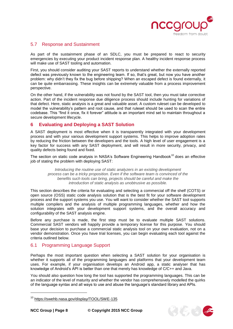

### <span id="page-7-0"></span>5.7 Response and Sustainment

As part of the sustainment phase of an SDLC, you must be prepared to react to security emergencies by executing your product incident response plan. A healthy incident response process will make use of SAST tooling and automation.

First, you should consider auditing your SAST reports to understand whether the externally reported defect was previously known to the engineering team. If so, that's great, but now you have another problem: why didn't they fix the bug before shipping? When an escaped defect is found externally, it can be quite embarrassing. These insights can be extremely valuable from a process improvement perspective.

On the other hand, if the vulnerability was not found by the SAST tool, then you must take corrective action. Part of the incident response due diligence process should include hunting for variations of that defect. Here, static analysis is a great and valuable asset. A custom ruleset can be developed to model the vulnerability's pattern and root cause, and that ruleset should be used to scan the entire codebase. This "find it once, fix it forever" attitude is an important mind set to maintain throughout a secure development lifecycle.

## <span id="page-7-1"></span>**6 Evaluating and Deploying a SAST Solution**

A SAST deployment is most effective when it is transparently integrated with your development process and with your various development support systems. This helps to improve adoption rates by reducing the friction between the developers and the tools. A high level of user engagement is a key factor for success with any SAST deployment, and will result in more security, privacy, and quality defects being found and fixed.

The section on static code analysis in NASA's Software Engineering Handbook<sup>10</sup> does an effective job of stating the problem with deploying SAST:

*Introducing the routine use of static analyzers in an existing development process can be a tricky proposition. Even if the software team is convinced of the benefits such tools can bring, projects should be careful and make the introduction of static analysis as unobtrusive as possible.*

This section describes the criteria for evaluating and selecting a commercial off the shelf (COTS) or open source (OSS) static code analysis solution that is the best fit for your software development process and the support systems you use. You will want to consider whether the SAST tool supports multiple compilers and the analysis of multiple programming languages, whether and how the solution integrates with your development support systems, and the overall accuracy and configurability of the SAST analysis engine.

Before any purchase is made, the first step must be to evaluate multiple SAST solutions. Commercial SAST vendors will happily provide a temporary license for this purpose. You should base your decision to purchase a commercial static analysis tool on your own evaluation, not on a vendor demonstration. Once you have trial licenses, you can begin evaluating each tool against the criteria outlined below.

### <span id="page-7-2"></span>6.1 Programming Language Support

Perhaps the most important question when selecting a SAST solution for your organisation is whether it supports all of the programming languages and platforms that your development team uses. For example, if your organisation develops an Android app, a static analyser that has knowledge of Android's API is better than one that merely has knowledge of C/C++ and Java.

You should also question how long the tool has supported the programming languages. This can be an indicator of the level of maturity and whether the vendor has comprehensively modelled the quirks of the language syntax and all ways to use and abuse the language's standard library and APIs.



<sup>10</sup> <https://swehb.nasa.gov/display/TOOL/SWE-135>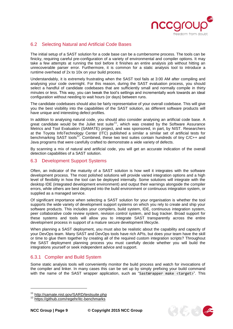

# <span id="page-8-0"></span>6.2 Selecting Natural and Artificial Code Bases

The initial setup of a SAST solution for a code base can be a cumbersome process. The tools can be finicky, requiring careful pre-configuration of a variety of environmental and compiler options. It may take a few attempts at running the tool before it finishes an entire analysis job without hitting an unrecoverable parser error. Furthermore, it is common for a static analysis tool to introduce a runtime overhead of 2x to 10x on your build process.

Understandably, it is extremely frustrating when the SAST tool fails at 3:00 AM after compiling and analysing your code overnight. For this reason, during the SAST evaluation process, you should select a handful of candidate codebases that are sufficiently small and normally compile in thirty minutes or less. This way, you can tweak the tool's settings and incrementally work towards an ideal configuration without needing to wait hours (or days) between runs.

The candidate codebases should also be fairly representative of your overall codebase. This will give you the best visibility into the capabilities of the SAST solution, as different software products will have unique and interesting defect profiles.

In addition to analysing natural code, you should also consider analysing an artificial code base. A great candidate would be the Juliet test suite<sup>11</sup>, which was created by the Software Assurance Metrics and Tool Evaluation (SAMATE) project, and was sponsored, in part, by NIST. Researchers at the Toyota InfoTechnology Center (ITC) published a similar a similar set of artificial tests for benchmarking SAST tools<sup>12</sup>. Combined, these two test suites contain hundreds of tiny C/C++ and Java programs that were carefully crafted to demonstrate a wide variety of defects.

By scanning a mix of natural and artificial code, you will get an accurate indication of the overall detection capabilities of a SAST solution.

#### <span id="page-8-1"></span>6.3 Development Support Systems

Often, an indicator of the maturity of a SAST solution is how well it integrates with the software development process. The most polished solutions will provide varied integration options and a high level of flexibility in how the tool can be deployed internally. Some solutions will integrate with the desktop IDE (integrated development environment) and output their warnings alongside the compiler errors, while others are best deployed into the build environment or continuous integration system, or supplied as a managed service.

Of significant importance when selecting a SAST solution for your organisation is whether the tool supports the wide variety of development support systems on which you rely to create and ship your software products. This includes your compilers, build system, IDE, continuous integration system, peer collaborative code review system, revision control system, and bug tracker. Broad support for these systems and tools will allow you to integrate SAST transparently across the entire development process in support of a mature secure development lifecycle.

When planning a SAST deployment, you must also be realistic about the capability and capacity of your DevOps team. Many SAST and DevOps tools have rich APIs, but does your team have the skill or time to glue them together by creating all of the required custom integration scripts? Throughout the SAST deployment planning process you must carefully decide whether you will build the integrations yourself or seek independent advice and support.

### <span id="page-8-2"></span>6.3.1 Compiler and Build System

Some static analysis tools will conveniently monitor the build process and watch for invocations of the compiler and linker. In many cases this can be set up by simply prefixing your build command with the name of the SAST wrapper application, such as "SastWrapper make <target>". This



<sup>&</sup>lt;sup>11</sup> <http://samate.nist.gov/SARD/testsuite.php>

<sup>12</sup> <https://github.com/regehr/itc-benchmarks>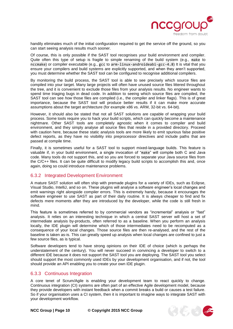

handily eliminates much of the initial configuration required to get the service off the ground, so you can start seeing analysis results much sooner.

Of course, this is only possible if the SAST tool recognises your build environment and compiler. Quite often this type of setup is fragile to simple renaming of the build system (e.g., make to nccmake) or compiler executable (e.g., gcc to arm-linux-androideabi-gcc-4.8) It is vital that you ensure your compilers and build systems are explicitly supported, and when they aren't supported, you must determine whether the SAST tool can be configured to recognise additional compilers.

By monitoring the build process, the SAST tool is able to see precisely which source files are compiled into your target. Many large projects will often have unused source files littered throughout the tree, and it is convenient to exclude those files from your analysis results. No engineer wants to spend time triaging bugs in dead code. In addition to seeing which source files are compiled, the SAST tool can see *how* those files are compiled (i.e., the compiler and linker flags). This is of great importance, because the SAST tool will produce better results if it can make more accurate assumptions about the target architecture (for example x86 vs. ARM, 32-bit vs. 64-bit).

However, it should also be stated that not all SAST solutions are capable of wrapping your build process. Some tools require you to hack your build scripts, which can quickly become a maintenance nightmare. Other SAST tools are completely agnostic when it comes to compiler and build environment, and they simply analyse all source files that reside in a provided directory. Proceed with caution here, because these static analysis tools are more likely to emit spurious false positive defect reports, as they have no visibility into preprocessor directives and include paths that are passed at compile time.

Finally, it is sometimes useful for a SAST tool to support mixed-language builds. This feature is valuable if, in your build environment, a single invocation of "make" will compile both C and Java code. Many tools do not support this, and so you are forced to separate your Java source files from the C/C++ files. It can be quite difficult to modify legacy build scripts to accomplish this and, once again, doing so could introduce maintenance problems.

### <span id="page-9-0"></span>6.3.2 Integrated Development Environment

A mature SAST solution will often ship with premade plugins for a variety of IDEs, such as Eclipse, Visual Studio, IntelliJ, and so on. These plugins will analyse a software engineer's local changes and emit warnings right alongside compiler errors. This is extremely handy, because it encourages the software engineer to use SAST as part of their daily routine. It is always cheaper to find and fix defects mere moments after they are introduced by the developer, while the code is still fresh in mind.

This feature is sometimes referred to by commercial vendors as "incremental" analysis or "fast" analysis. It relies on an interesting technique in which a central SAST server will host a set of intermediate analysis by-products, often referred to as a baseline. When you perform an analysis locally, the IDE plugin will determine which of those intermediates need to be recomputed as a consequence of your local changes. Those source files are then re-analysed, and the rest of the baseline is taken as-is. This can greatly speed up analysis when local changes are confined to just a few source files, as is typical.

Software developers tend to have strong opinions on their IDE of choice (which is perhaps the understatement of the century). You will never succeed in convincing a developer to switch to a different IDE because it does not support the SAST tool you are deploying. The SAST tool you select should support the most commonly used IDEs by your development organisation, and if not, the tool should provide an API enabling you to create your own IDE plugin.

### <span id="page-9-1"></span>6.3.3 Continuous Integration

A core tenet of Scrum/Agile is enabling your development team to react quickly to change. Continuous integration (CI) systems are often part of an effective Agile development model, because they provide developers with instant feedback when a commit breaks a build or causes a test failure. So if your organisation uses a CI system, then it is important to imagine ways to integrate SAST with your development workflow.

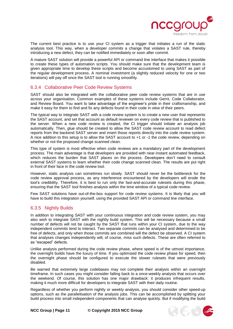

The current best practice is to use your CI system as a trigger that initiates a run of the static analysis tool. This way, when a developer commits a change that violates a SAST rule, thereby introducing a new defect, they can be notified immediately or soon after commit.

A mature SAST solution will provide a powerful API or command line interface that makes it possible to create these types of automation scripts. You should make sure that the development team is given appropriate time to develop these scripts and become accustomed to using SAST as part of the regular development process. A nominal investment (a slightly reduced velocity for one or two iterations) will pay off once the SAST tool is running smoothly.

## <span id="page-10-0"></span>6.3.4 Collaborative Peer Code Review Systems

SAST should also be integrated with the collaborative peer code review systems that are in use across your organisation. Common examples of these systems include Gerrit, Code Collaborator, and Review Board. You want to take advantage of the engineer's pride in their craftsmanship, and make it easy for them to find and fix any defects found in their code in view of their peers.

The typical way to integrate SAST with a code review system is to create a new user that represents the SAST account, and set that account as default reviewer on every code review that is published to the server. When a new code review is created, the CI trigger should initiate an analysis job automatically. Then, glue should be created to allow the SAST code review account to read defect reports from the backend SAST server and insert those reports directly into the code review system. A nice addition to this setup is to allow the SAST account to +1 or -1 the code review, depending on whether or not the proposed change scanned clean.

This type of system is most effective when code reviews are a mandatory part of the development process. The main advantage is that developers are provided with near-instant automated feedback, which reduces the burden that SAST places on the process. Developers don't need to consult external SAST systems to learn whether their code change scanned clean. The results are put right in front of their face in the code review tool.

However, static analysis can sometimes run slowly. SAST should never be the bottleneck for the code review approval process, as any interference encountered by the developers will erode the tool's credibility. Therefore, it is best to run only the fast-and-accurate rulesets during this phase, ensuring that the SAST tool finishes analysis within the time window of a typical code review.

Few SAST solutions have out-of-the-box support for code review systems. It is likely that you will have to build this integration yourself, using the provided SAST API or command line interface.

### <span id="page-10-1"></span>6.3.5 Nightly Builds

In addition to integrating SAST with your continuous integration and code review system, you may also wish to integrate SAST with the nightly build system. This will be necessary because a small number of defects will not be caught by the SAST that runs within your CI system, due to the way independent commits tend to interact. Two separate commits can be analysed and determined to be free of defects, and only when those commits are combined will the defect be observed. A CI system that analyses changes independently will, of course, miss such defects. These are often referred to as "escaped" defects.

Unlike analysis performed during the code review phase, where speed is of the utmost importance, the overnight builds have the luxury of time. If you optimised the code review phase for speed, then the overnight phase should be configured to execute the slower rulesets that were previously disabled.

Be warned that extremely large codebases may not complete their analysis within an overnight timeframe. In such cases you might consider falling back to a once-weekly analysis that occurs over the weekend. Of course, this solution has one major drawback: it produces infrequent results, making it much more difficult for developers to integrate SAST with their daily routine.

Regardless of whether you perform nightly or weekly analysis, you should consider other speed-up options, such as the parallelisation of the analysis jobs. This can be accomplished by splitting your build process into small independent components that can analyse quickly. But if modifying the build

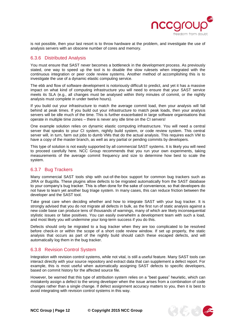

is not possible, then your last resort is to throw hardware at the problem, and investigate the use of analysis servers with an obscene number of cores and memory.

### <span id="page-11-0"></span>6.3.6 Distributed Analysis

You must ensure that SAST never becomes a bottleneck in the development process. As previously stated, one way to speed up the tool is to disable the slow rulesets when integrated with the continuous integration or peer code review systems. Another method of accomplishing this is to investigate the use of a dynamic elastic computing service.

The ebb and flow of software development is notoriously difficult to predict, and yet it has a massive impact on what kind of computing infrastructure you will need to ensure that your SAST service meets its SLA (e.g., all changes must be analysed within thirty minutes of commit, or the nightly analysis must complete in under twelve hours).

If you build out your infrastructure to match the average commit load, then your analysis will fall behind at peak times. If you build out your infrastructure to match peak loads, then your analysis servers will be idle much of the time. This is further exacerbated in large software organisations that operate in multiple time zones – there is never any idle time on the CI servers!

One example solution relies on dynamic elastic computing infrastructure. You will need a central server that speaks to your CI system, nightly build system, or code review system. This central server will, in turn, farm out jobs to dumb VMs that do the actual analysis. This requires each VM to have a copy of the master branch, as well as any partial or pending commits by developers.

This type of solution is not easily supported by all commercial SAST systems. It is likely you will need to proceed carefully here. NCC Group recommends that you run your own experiments, taking measurements of the average commit frequency and size to determine how best to scale the system.

# <span id="page-11-1"></span>6.3.7 Bug Trackers

Many commercial SAST tools ship with out-of-the-box support for common bug trackers such as JIRA or Bugzilla. These plugins allow defects to be migrated automatically from the SAST database to your company's bug tracker. This is often done for the sake of convenience, so that developers do not have to learn yet another bug triage system. In many cases, this can reduce friction between the developer and the SAST tool.

Take great care when deciding whether and how to integrate SAST with your bug tracker. It is strongly advised that you do not migrate all defects in bulk, as the first run of static analysis against a new code base can produce tens of thousands of warnings, many of which are likely inconsequential stylistic issues or false positives. You can easily overwhelm a development team with such a load, and most likely you will undermine your long-term success if you do this.

Defects should only be migrated to a bug tracker when they are too complicated to be resolved before check-in or within the scope of a short code review window. If set up properly, the static analysis that occurs as part of the nightly build should catch these escaped defects, and will automatically log them in the bug tracker.

# <span id="page-11-2"></span>6.3.8 Revision Control System

Integration with revision control systems, while not vital, is still a useful feature. Many SAST tools can interact directly with your source repository and extract data that can supplement a defect report. For example, this is most useful when automatically assigning SAST defects to specific developers, based on commit history for the affected source file.

However, be warned that this type of attribution system relies on a "best guess" heuristic, which can mistakenly assign a defect to the wrong developer when the issue arises from a combination of code changes rather than a single change. If defect assignment accuracy matters to you, then it is best to avoid integrating with revision control systems in this way.

**NCC Group | Page 12 © Copyright 2015 NCC Group**

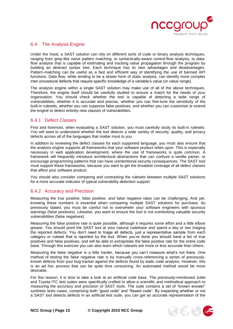

#### <span id="page-12-0"></span>6.4 The Analysis Engine

Under the hood, a SAST solution can rely on different sorts of code or binary analysis techniques, ranging from grep-like naïve pattern matching, to syntactically-aware control-flow analysis, to dataflow analysis that is capable of estimating and tracking value propagation through the program by building an abstract syntax tree. Each technique has its own advantages and disadvantages. Pattern-matching can be useful as a fast and efficient way of identifying the use of banned API functions. Data flow, while tending to be a slower form of static analysis, can identify more complex inter-procedural defects that require specific knowledge of a variable's value (or value range).

The analysis engine within a single SAST solution may make use of all of the above techniques. Therefore, the engine itself should be carefully studied to ensure a match for the needs of your organisation. You should check whether the tool is capable of detecting a wide range of vulnerabilities, whether it is accurate and precise, whether you can fine-tune the sensitivity of the built-in rulesets, whether you can suppress false positives, and whether you can customise or extend the engine to detect entirely new classes of vulnerabilities.

### <span id="page-12-1"></span>6.4.1 Defect Classes

First and foremost, when evaluating a SAST solution, you must carefully study its built-in rulesets. You will want to understand whether the tool detects a wide variety of security, quality, and privacy defects across all of the languages that matter most to you.

In addition to reviewing the defect classes for each supported language, you must also ensure that the analysis engine supports all frameworks that your software product relies upon. This is especially necessary in web application development, where the use of frameworks is quite common. A framework will frequently introduce architectural abstractions that can confuse a vanilla parser, or encourage programming patterns that can have unintentional security consequences. The SAST tool must support these frameworks, because you want to get the broadest coverage of all defect classes that affect your software product.

You should also consider comparing and contrasting the rulesets between multiple SAST solutions for a more accurate indicator of typical vulnerability detection support.

### <span id="page-12-2"></span>6.4.2 Accuracy and Precision

Measuring the true positive, false positive, and false negative rates can be challenging. And yet, knowing these numbers is essential when comparing multiple SAST solutions for purchase. As previously stated, you must be careful not to overwhelm your software engineers with spurious warnings (false positives). Likewise, you want to ensure the tool is not overlooking valuable security vulnerabilities (false negatives).

Measuring the false positive rate is quite possible, although it requires some effort and a little elbow grease. You should point the SAST tool at your natural codebase and spend a day or two triaging the reported defects. You don't need to triage all defects, just a representative sample from each category or ruleset that is reported by the tool. When you're done you should have a list of true positives and false positives, and will be able to extrapolate the false positive rate for the entire code base. Through this exercise you can also learn which rulesets are more or less accurate than others.

Measuring the false negative is a little harder, because you can't measure what's not there. One method of testing the false negative rate is by manually cross-referencing a series of previouslyknown defects from your bug tracker against the defects found by static code analysis. However, this is an *ad hoc* process that can be quite time consuming. An automated method would be more desirable.

For this reason, it is time to take a look at an artificial code base. The previously-mentioned Juliet and Toyota ITC test suites were specifically crafted to allow a scientific and methodical approach to measuring the accuracy and precision of SAST tools. The suite contains a set of "known answer" synthetic tests cases, comprising both "good code" and "flawed code". By inspecting whether or not a SAST tool detects defects in an artificial test suite, you can get an accurate representation of the



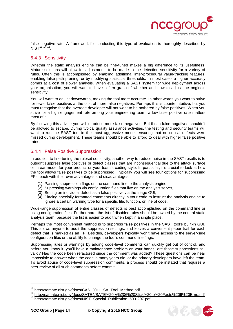

false negative rate. A framework for conducting this type of evaluation is thoroughly described by  $NIST^{13}$  <sup>14 15</sup>.

## <span id="page-13-0"></span>6.4.3 Sensitivity

Whether the static analysis engine can be fine-tuned makes a big difference to its usefulness. Mature solutions will allow for adjustments to be made to the detection sensitivity for a variety of rules. Often this is accomplished by enabling additional inter-procedural value-tracking features, enabling false path pruning, or by modifying statistical thresholds. In most cases a higher accuracy comes at a cost of slower analysis. When evaluating a SAST system for wide deployment across your organisation, you will want to have a firm grasp of whether and how to adjust the engine's sensitivity.

You will want to adjust downwards, making the tool more accurate. In other words you want to strive for fewer false positives at the cost of more false negatives. Perhaps this is counterintuitive, but you must recognise that the average developer will not want to be bothered by false positives. When you strive for a high engagement rate among your engineering team, a low false positive rate matters most of all.

By following this advice you will introduce more false negatives. But those false negatives shouldn't be allowed to escape. During typical quality assurance activities, the testing and security teams will want to run the SAST tool in the most aggressive mode, ensuring that no critical defects were missed during development. These teams should be able to afford to deal with higher false positive rates.

## <span id="page-13-1"></span>6.4.4 False Positive Suppression

In addition to fine-tuning the ruleset sensitivity, another way to reduce noise in the SAST results is to outright suppress false positives or defect classes that are inconsequential due to the attack surface or threat model for your product or your team's coding style. In particular, it's crucial to look at how the tool allows false positives to be suppressed. Typically you will see four options for suppressing FPs, each with their own advantages and disadvantages:

- (1) Passing suppression flags on the command line to the analysis engine,
- (2) Supressing warnings via configuration files that live on the analysis server,
- (3) Setting an individual defect as a false positive via the triage GUI,
- (4) Placing specially-formatted comments directly in your code to instruct the analysis engine to ignore a certain warning type for a specific file, function, or line of code.

Wide-range suppression of entire classes of defects is best accomplished on the command line or using configuration files. Furthermore, the list of disabled rules should be owned by the central static analysis team, because the list is easier to audit when kept in a single place.

Perhaps the most convenient method is to suppress false positives in the SAST tool's built-in GUI. This allows anyone to audit the suppression settings, and leaves a convenient paper trail for each defect that is marked as an FP. Besides, developers typically won't have access to the server-side configuration files or the ability to change the tool's command line flags.

Suppressing rules or warnings by adding code-level comments can quickly get out of control, and before you know it, you'll have a maintenance problem on your hands: are those suppressions still valid? Has the code been refactored since the comment was added? These questions can be near impossible to answer when the code is many years old, or the primary developers have left the team. To avoid abuse of code-level suppression comments, a process should be instated that requires a peer review of all such comments before commit.



<sup>&</sup>lt;sup>13</sup> [http://samate.nist.gov/docs/CAS\\_2011\\_SA\\_Tool\\_Method.pdf](http://samate.nist.gov/docs/CAS_2011_SA_Tool_Method.pdf)

<sup>&</sup>lt;sup>14</sup> <http://samate.nist.gov/docs/SATE4/SATE%20IV%206%20Stick%20to%20Facts%20II%20Erno.pdf><br><sup>15</sup> http://gomete.nist.gov/docs/NIST\_Special\_Bublication\_500\_207.pdf

[http://samate.nist.gov/docs/NIST\\_Special\\_Publication\\_500-297.pdf](http://samate.nist.gov/docs/NIST_Special_Publication_500-297.pdf)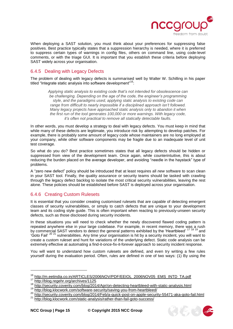

When deploying a SAST solution, you must think about your preferences for suppressing false positives. Best practice typically states that a suppression hierarchy is needed, where it is preferred to suppress certain types of warnings in config files, others on command line, using code-level comments, or with the triage GUI. It is important that you establish these criteria before deploying SAST widely across your organisation.

# <span id="page-14-0"></span>6.4.5 Dealing with Legacy Defects

The problem of dealing with legacy defects is summarised well by Walter W. Schilling in his paper titled "Integrate static analysis into software development"<sup>16</sup>:

*Applying static analysis to existing code that's not intended for obsolescence can be challenging. Depending on the age of the code, the engineer's programming style, and the paradigms used, applying static analysis to existing code can range from difficult to nearly impossible if a disciplined approach isn't followed. Many legacy projects have approached static analysis only to abandon it when the first run of the tool generates 100,000 or more warnings. With legacy code, it's often not practical to remove all statically detectable faults.*

In other words, you must develop a strategy to deal with legacy defects. You must keep in mind that while many of these defects are legitimate, you introduce risk by attempting to develop patches. For example, there is probably some amount of legacy code whose maintainers are no long employed at your company, while other software components may be fragile due to an inadequate level of unit test coverage.

So what do you do? Best practice sometimes states that all legacy defects should be hidden or suppressed from view of the development team. Once again, while counterintuitive, this is about reducing the burden placed on the average developer, and avoiding "needle in the haystack" type of problems.

A "zero new defect" policy should be introduced that at least requires all *new* software to scan clean in your SAST tool. Finally, the quality assurance or security teams should be tasked with crawling through the legacy defect backlog to isolate the most critical security vulnerabilities, leaving the rest alone. These policies should be established before SAST is deployed across your organisation.

# <span id="page-14-1"></span>6.4.6 Creating Custom Rulesets

It is essential that you consider creating customised rulesets that are capable of detecting emergent classes of security vulnerabilities, or simply to catch defects that are unique to your development team and its coding style guide. This is often important when reacting to previously-unseen security defects, such as those disclosed during security incidents.

In these situations you will need to check whether the newly discovered flawed coding pattern is repeated anywhere else in your large codebase. For example, in recent memory, there was a rush by commercial SAST vendors to detect the general patterns exhibited by the 'Heartbleed' 17 18 19 and 'Goto Fail' <sup>20 21</sup> vulnerabilities. Any time your organisation is hit by a security incident, you will want to create a custom ruleset and hunt for variations of the underlying defect. Static code analysis can be extremely effective at automating a find-it-once-fix-it-forever approach to security incident response.

You will want to understand how custom rulesets are defined, and even try writing a few rules yourself during the evaluation period. Often, rules are defined in one of two ways: (1) By using the



<sup>&</sup>lt;sup>16</sup> [http://m.eetindia.co.in/ARTICLES/2006NOV/PDF/EEIOL\\_2006NOV05\\_EMS\\_INTD\\_TA.pdf](http://m.eetindia.co.in/ARTICLES/2006NOV/PDF/EEIOL_2006NOV05_EMS_INTD_TA.pdf)<br><sup>17</sup> http://blog.regebr.org/archives/1125

<http://blog.regehr.org/archives/1125>

<sup>&</sup>lt;sup>18</sup> <http://security.coverity.com/blog/2014/Apr/on-detecting-heartbleed-with-static-analysis.html><br><sup>19</sup> http://blog.kloeverk.com/activers.cogyrity/coving.you from beatbleed/

<http://blog.klocwork.com/software-security/saving-you-from-heartbleed/>

<sup>20</sup> <http://security.coverity.com/blog/2014/Feb/a-quick-post-on-apple-security-55471-aka-goto-fail.html><br>21 http://security.coverity.com/blog/2014/Feb/a-quick-post-on-apple-security-55471-aka-goto-fail.html

<http://blog.klocwork.com/static-analysis/rather-than-fail-goto-success/>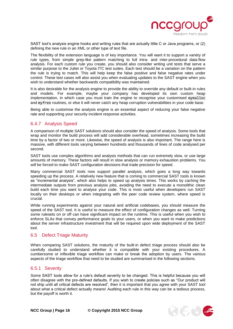

SAST tool's analysis engine hooks and writing rules that are actually little C or Java programs, or (2) defining the new rule in an XML or other type of text file.

The flexibility of the extension language is of key importance. You will want it to support a variety of rule types, from simple grep-like pattern matching to full intra- and inter-procedural data-flow analysis. For each custom rule you create, you should also consider writing unit tests that serve a similar purpose to the Juliet or Toyota ITC test suites. Each test should be a variation on the pattern the rule is trying to match. This will help keep the false positive and false negative rates under control. These test cases will also assist you when evaluating updates to the SAST engine when you wish to understand whether backwards compatibility was maintained.

It is also desirable for the analysis engine to provide the ability to override any default or built-in rules and models. For example, maybe your company has developed its own custom heap implementation, in which case you must train the engine to recognise your customised mymalloc and myfree routines, or else it will never catch any heap corruption vulnerabilities in your code base.

Being able to customise the analysis engine is an essential aspect of reducing your false negative rate and supporting your security incident response activities.

## <span id="page-15-0"></span>6.4.7 Analysis Speed

A comparison of multiple SAST solutions should also consider the speed of analysis. Some tools that wrap and monitor the build process will add considerable overhead, sometimes increasing the build time by a factor of two or more. Likewise, the speed of analysis is also important. The range here is massive, with different tools varying between hundreds and thousands of lines of code analysed per second.

SAST tools use complex algorithms and analysis methods that can run extremely slow, or use large amounts of memory. These factors will result in slow analysis or memory exhaustion problems. You *will* be forced to make SAST configuration decisions that trade precision for speed.

Many commercial SAST tools now support parallel analysis, which goes a long way towards speeding up the process. A relatively new feature that is coming to commercial SAST tools is known as "incremental analysis", which also helps to speed up analysis times. This works by caching the intermediate outputs from previous analysis jobs, avoiding the need to execute a monolithic clean build each time you want to analyse your code. This is most useful when developers run SAST locally on their desktops or when integrating with the peer code review system, where speed is crucial.

While running experiments against your natural and artificial codebases, you should measure the speed of the SAST tool. It is useful to measure the effect of configuration changes as well. Turning some rulesets on or off can have significant impact on the runtime. This is useful when you wish to enforce SLAs that convey performance goals to your users, or when you want to make predictions about the server infrastructure investment that will be required upon wide deployment of the SAST tool.

### <span id="page-15-1"></span>6.5 Defect Triage Maturity

When comparing SAST solutions, the maturity of the built-in defect triage process should also be carefully studied to understand whether it is compatible with your existing procedures. A cumbersome or inflexible triage workflow can make or break the adoption by users. The various aspects of the triage workflow that need to be studied are summarised in the following sections.

### <span id="page-15-2"></span>6.5.1 Severity

Some SAST tools allow for a rule's default severity to be changed. This is helpful because you will often disagree with the pre-defined defaults. If you wish to create policies such as "Our product will not ship until all critical defects are resolved", then it is important that you agree with your SAST tool about what a critical defect actually means! Auditing each rule in this way can be a tedious process, but the payoff is worth it.

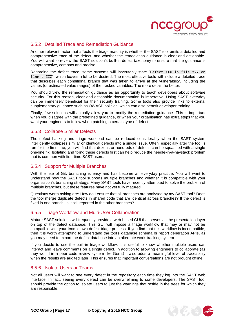

## <span id="page-16-0"></span>6.5.2 Detailed Trace and Remediation Guidance

Another relevant factor that affects the triage maturity is whether the SAST tool emits a detailed and comprehensive trace of the defect, and whether the remediation guidance is clear and actionable. You will want to review the SAST solution's built-in defect taxonomy to ensure that the guidance is comprehensive, compact and precise.

Regarding the defect trace, some systems will inscrutably state "Defect XXX in file YYY on line # ZZZ", which leaves a lot to be desired. The most effective tools will include a detailed trace that describes each conditional branch that was taken to arrive at the vulnerability, including the values (or estimated value ranges) of the tracked variables. The more detail the better.

You should view the remediation guidance as an opportunity to teach developers about software security. For this reason, clear and actionable documentation is imperative. Using SAST everyday can be immensely beneficial for their security training. Some tools also provide links to external supplementary guidance such as OWASP policies, which can also benefit developer training.

Finally, few solutions will actually allow you to modify the remediation guidance. This is important when you disagree with the predefined guidance, or when your organisation has extra steps that you want your engineers to follow when patching a certain type of defect.

### <span id="page-16-1"></span>6.5.3 Collapse Similar Defects

The defect backlog and triage workload can be reduced considerably when the SAST system intelligently collapses similar or identical defects into a single issue. Often, especially after the tool is run for the first time, you will find that dozens or hundreds of defects can be squashed with a single one-line fix. Isolating and fixing these defects first can help reduce the needle-in-a-haystack problem that is common with first-time SAST users.

### <span id="page-16-2"></span>6.5.4 Support for Multiple Branches

With the rise of Git, branching is easy and has become an everyday practice. You will want to understand how the SAST tool supports multiple branches and whether it is compatible with your organisation's branching strategy. Many SAST tools have recently attempted to solve the problem of multiple branches, but these features have not yet fully matured.

Questions worth asking are: How do I ensure that all branches are analysed by my SAST tool? Does the tool merge duplicate defects in shared code that are identical across branches? If the defect is fixed in one branch, is it still reported in the other branches?

### <span id="page-16-3"></span>6.5.5 Triage Workflow and Multi-User Collaboration

Mature SAST solutions will frequently provide a web-based GUI that serves as the presentation layer on top of the defect database. This GUI will impose a triage workflow that may or may not be compatible with your team's own defect triage process. If you find that this workflow is incompatible, then it is worth attempting to understand the tool's database schema or report generation APIs, as you may need to export the defect database into an alternate work-tracking system.

If you decide to use the built-in triage workflow, it is useful to know whether multiple users can interact and leave comments on a single defect. In addition to allowing engineers to collaborate (as they would in a peer code review system like Gerrit) it also adds a meaningful level of traceability when the results are audited later. This ensures that important conversations are not brought offline.

### <span id="page-16-4"></span>6.5.6 Isolate Users or Teams

Not all users will want to see every defect in the repository each time they log into the SAST web interface. In fact, seeing every defect can be overwhelming to some developers. The SAST tool should provide the option to isolate users to just the warnings that reside in the trees for which they are responsible.

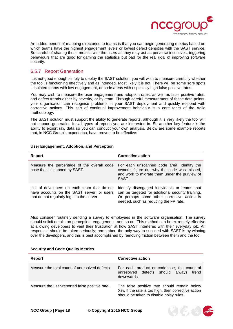

An added benefit of mapping directories to teams is that you can begin generating metrics based on which teams have the highest engagement levels or lowest defect densities with the SAST service. Be careful of sharing these metrics with the users as they may act as perverse incentives, triggering behaviours that are good for gaming the statistics but bad for the real goal of improving software security.

### <span id="page-17-0"></span>6.5.7 Report Generation

It is not good enough simply to deploy the SAST solution; you will wish to measure carefully whether the tool is functioning effectively and as intended. Most likely it is not. There will be some sore spots – isolated teams with low engagement, or code areas with especially high false positive rates.

You may wish to measure the user engagement and adoption rates, as well as false positive rates, and defect trends either by severity, or by team. Through careful measurement of these data points, your organisation can recognise problems in your SAST deployment and quickly respond with corrective actions. This sort of continual improvement behaviour is a core tenet of the Agile methodology.

The SAST solution must support the ability to generate reports, although it is very likely the tool will not support generation for all types of reports you are interested in. So another key feature is the ability to export raw data so you can conduct your own analysis. Below are some example reports that, in NCC Group's experience, have proven to be effective:

| Report                                                                                                                                  | <b>Corrective action</b>                                                                                                                                                                  |
|-----------------------------------------------------------------------------------------------------------------------------------------|-------------------------------------------------------------------------------------------------------------------------------------------------------------------------------------------|
| Measure the percentage of the overall code<br>base that is scanned by SAST.                                                             | For each unscanned code area, identify the<br>owners, figure out why the code was missed,<br>and work to migrate them under the purview of<br>SAST.                                       |
| List of developers on each team that do not<br>have accounts on the SAST server, or users<br>that do not regularly log into the server. | Identify disengaged individuals or teams that<br>can be targeted for additional security training.<br>Or perhaps some other corrective action is<br>needed, such as reducing the FP rate. |

#### **User Engagement, Adoption, and Perception**

Also consider routinely sending a survey to employees in the software organisation. The survey should solicit details on perception, engagement, and so on. This method can be extremely effective at allowing developers to vent their frustration at how SAST interferes with their everyday job. All responses should be taken seriously; remember, the only way to succeed with SAST is by winning over the developers, and this is best accomplished by removing friction between them and the tool.

#### **Security and Code Quality Metrics**

| Report                                         | <b>Corrective action</b>                                                                                                                      |
|------------------------------------------------|-----------------------------------------------------------------------------------------------------------------------------------------------|
| Measure the total count of unresolved defects. | For each product or codebase, the count of<br>unresolved defects should<br>alwavs<br>trend<br>downwards.                                      |
| Measure the user-reported false positive rate. | The false positive rate should remain below<br>X%. If the rate is too high, then corrective action<br>should be taken to disable noisy rules. |

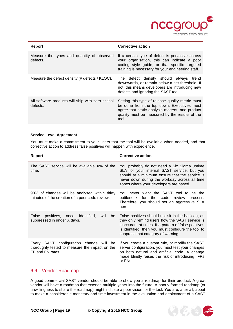

| Report                                                         | <b>Corrective action</b>                                                                                                                                                                                     |
|----------------------------------------------------------------|--------------------------------------------------------------------------------------------------------------------------------------------------------------------------------------------------------------|
| Measure the types and quantity of observed<br>defects.         | If a certain type of defect is pervasive across<br>your organisation, this can indicate a poor<br>coding style guide, or that specific targeted<br>training is necessary for your engineering staff.         |
| Measure the defect density (# defects / KLOC).                 | The defect density should always<br>trend<br>downwards, or remain below a set threshold. If<br>not, this means developers are introducing new<br>defects and ignoring the SAST tool.                         |
| All software products will ship with zero critical<br>defects. | Setting this type of release quality metric must<br>be done from the top down. Executives must<br>agree that static analysis matters, and product<br>quality must be measured by the results of the<br>tool. |

#### **Service Level Agreement**

You must make a commitment to your users that the tool will be available when needed, and that corrective action to address false positives will happen with expedience.

| <b>Report</b>                                                                                                    | <b>Corrective action</b>                                                                                                                                                                                                                                |
|------------------------------------------------------------------------------------------------------------------|---------------------------------------------------------------------------------------------------------------------------------------------------------------------------------------------------------------------------------------------------------|
| The SAST service will be available X% of the<br>time.                                                            | You probably do not need a Six Sigma uptime<br>SLA for your internal SAST service, but you<br>should at a minimum ensure that the service is<br>never down during the workday across all time<br>zones where your developers are based.                 |
| 90% of changes will be analysed within thirty<br>minutes of the creation of a peer code review.                  | You never want the SAST tool to be the<br>bottleneck for the code review<br>process.<br>Therefore, you should set an aggressive SLA<br>here.                                                                                                            |
| positives, once identified,<br>False<br>will<br>be<br>suppressed in under X days.                                | False positives should not sit in the backlog, as<br>they only remind users how the SAST service is<br>inaccurate at times. If a pattern of false positives<br>is identified, then you must configure the tool to<br>suppress that category of warning. |
| Every SAST configuration change will<br>be<br>thoroughly tested to measure the impact on the<br>FP and FN rates. | If you create a custom rule, or modify the SAST<br>server configuration, you must test your changes<br>on both natural and artificial code. A change<br>made blindly raises the risk of introducing FPs<br>or FNs.                                      |

### <span id="page-18-0"></span>6.6 Vendor Roadmap

A good commercial SAST vendor should be able to show you a roadmap for their product. A great vendor will have a roadmap that extends multiple years into the future. A poorly-formed roadmap (or unwillingness to share the roadmap) might indicate a poor vision for the tool. You are, after all, about to make a considerable monetary and time investment in the evaluation and deployment of a SAST